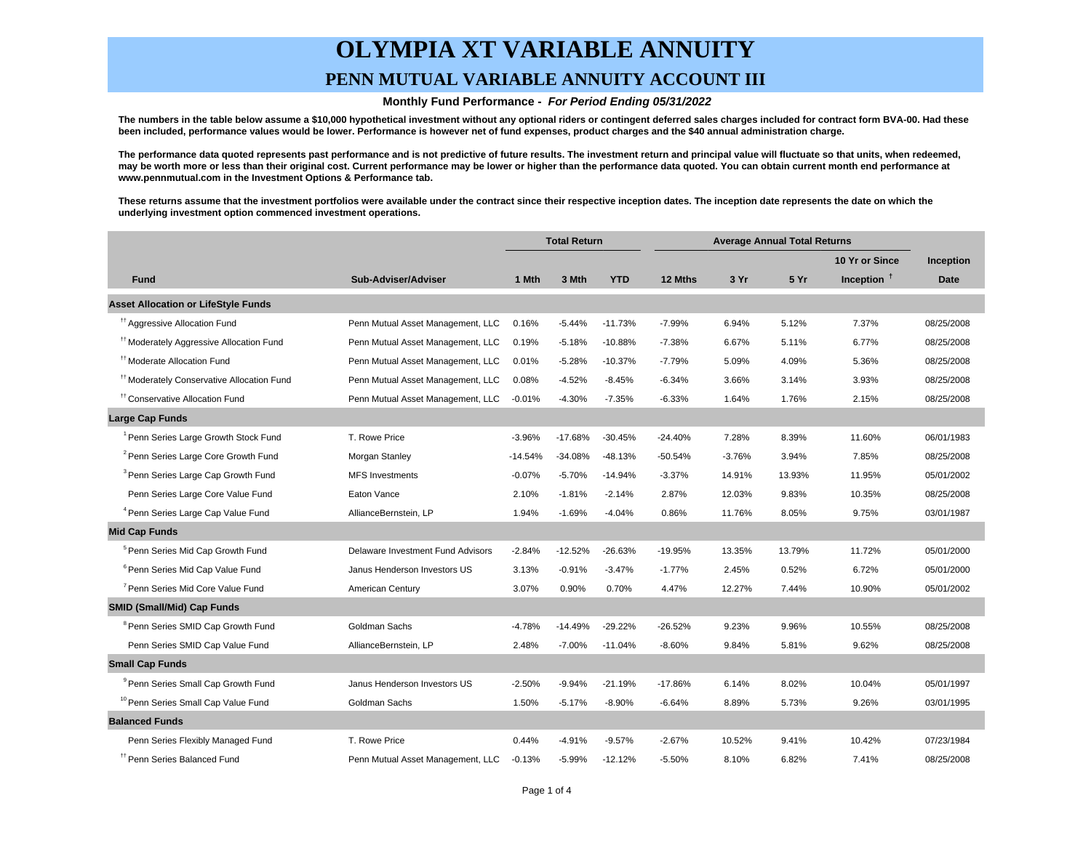## **OLYMPIA XT VARIABLE ANNUITY PENN MUTUAL VARIABLE ANNUITY ACCOUNT III**

#### **Monthly Fund Performance - For Period Ending 05/31/2022**

**The numbers in the table below assume a \$10,000 hypothetical investment without any optional riders or contingent deferred sales charges included for contract form BVA-00. Had these been included, performance values would be lower. Performance is however net of fund expenses, product charges and the \$40 annual administration charge.**

**The performance data quoted represents past performance and is not predictive of future results. The investment return and principal value will fluctuate so that units, when redeemed, may be worth more or less than their original cost. Current performance may be lower or higher than the performance data quoted. You can obtain current month end performance at www.pennmutual.com in the Investment Options & Performance tab.**

**These returns assume that the investment portfolios were available under the contract since their respective inception dates. The inception date represents the date on which the underlying investment option commenced investment operations.**

|                                                       |                                   | <b>Total Return</b> |           | <b>Average Annual Total Returns</b> |           |          |        |                |            |
|-------------------------------------------------------|-----------------------------------|---------------------|-----------|-------------------------------------|-----------|----------|--------|----------------|------------|
|                                                       |                                   |                     |           |                                     |           |          |        | 10 Yr or Since | Inception  |
| <b>Fund</b>                                           | Sub-Adviser/Adviser               | 1 Mth               | 3 Mth     | <b>YTD</b>                          | 12 Mths   | 3 Yr     | 5 Yr   | Inception $†$  | Date       |
| <b>Asset Allocation or LifeStyle Funds</b>            |                                   |                     |           |                                     |           |          |        |                |            |
| <sup>11</sup> Aggressive Allocation Fund              | Penn Mutual Asset Management, LLC | 0.16%               | $-5.44%$  | $-11.73%$                           | $-7.99%$  | 6.94%    | 5.12%  | 7.37%          | 08/25/2008 |
| <sup>#†</sup> Moderately Aggressive Allocation Fund   | Penn Mutual Asset Management, LLC | 0.19%               | $-5.18%$  | $-10.88%$                           | $-7.38%$  | 6.67%    | 5.11%  | 6.77%          | 08/25/2008 |
| <sup>11</sup> Moderate Allocation Fund                | Penn Mutual Asset Management, LLC | 0.01%               | $-5.28%$  | $-10.37%$                           | $-7.79%$  | 5.09%    | 4.09%  | 5.36%          | 08/25/2008 |
| <sup>††</sup> Moderately Conservative Allocation Fund | Penn Mutual Asset Management, LLC | 0.08%               | $-4.52%$  | $-8.45%$                            | $-6.34%$  | 3.66%    | 3.14%  | 3.93%          | 08/25/2008 |
| <sup>††</sup> Conservative Allocation Fund            | Penn Mutual Asset Management, LLC | $-0.01%$            | $-4.30%$  | $-7.35%$                            | $-6.33%$  | 1.64%    | 1.76%  | 2.15%          | 08/25/2008 |
| Large Cap Funds                                       |                                   |                     |           |                                     |           |          |        |                |            |
| <sup>1</sup> Penn Series Large Growth Stock Fund      | T. Rowe Price                     | $-3.96%$            | $-17.68%$ | $-30.45%$                           | $-24.40%$ | 7.28%    | 8.39%  | 11.60%         | 06/01/1983 |
| <sup>2</sup> Penn Series Large Core Growth Fund       | Morgan Stanley                    | $-14.54%$           | $-34.08%$ | $-48.13%$                           | $-50.54%$ | $-3.76%$ | 3.94%  | 7.85%          | 08/25/2008 |
| <sup>3</sup> Penn Series Large Cap Growth Fund        | <b>MFS</b> Investments            | $-0.07%$            | $-5.70%$  | $-14.94%$                           | $-3.37%$  | 14.91%   | 13.93% | 11.95%         | 05/01/2002 |
| Penn Series Large Core Value Fund                     | Eaton Vance                       | 2.10%               | $-1.81%$  | $-2.14%$                            | 2.87%     | 12.03%   | 9.83%  | 10.35%         | 08/25/2008 |
| <sup>4</sup> Penn Series Large Cap Value Fund         | AllianceBernstein, LP             | 1.94%               | $-1.69%$  | $-4.04%$                            | 0.86%     | 11.76%   | 8.05%  | 9.75%          | 03/01/1987 |
| <b>Mid Cap Funds</b>                                  |                                   |                     |           |                                     |           |          |        |                |            |
| <sup>5</sup> Penn Series Mid Cap Growth Fund          | Delaware Investment Fund Advisors | $-2.84%$            | $-12.52%$ | $-26.63%$                           | -19.95%   | 13.35%   | 13.79% | 11.72%         | 05/01/2000 |
| <sup>6</sup> Penn Series Mid Cap Value Fund           | Janus Henderson Investors US      | 3.13%               | $-0.91%$  | $-3.47%$                            | $-1.77%$  | 2.45%    | 0.52%  | 6.72%          | 05/01/2000 |
| <sup>7</sup> Penn Series Mid Core Value Fund          | American Century                  | 3.07%               | 0.90%     | 0.70%                               | 4.47%     | 12.27%   | 7.44%  | 10.90%         | 05/01/2002 |
| <b>SMID (Small/Mid) Cap Funds</b>                     |                                   |                     |           |                                     |           |          |        |                |            |
| <sup>8</sup> Penn Series SMID Cap Growth Fund         | Goldman Sachs                     | $-4.78%$            | $-14.49%$ | $-29.22%$                           | $-26.52%$ | 9.23%    | 9.96%  | 10.55%         | 08/25/2008 |
| Penn Series SMID Cap Value Fund                       | AllianceBernstein, LP             | 2.48%               | $-7.00%$  | $-11.04%$                           | $-8.60%$  | 9.84%    | 5.81%  | 9.62%          | 08/25/2008 |
| <b>Small Cap Funds</b>                                |                                   |                     |           |                                     |           |          |        |                |            |
| <sup>9</sup> Penn Series Small Cap Growth Fund        | Janus Henderson Investors US      | $-2.50%$            | $-9.94%$  | $-21.19%$                           | $-17.86%$ | 6.14%    | 8.02%  | 10.04%         | 05/01/1997 |
| <sup>10</sup> Penn Series Small Cap Value Fund        | Goldman Sachs                     | 1.50%               | $-5.17%$  | $-8.90%$                            | $-6.64%$  | 8.89%    | 5.73%  | 9.26%          | 03/01/1995 |
| <b>Balanced Funds</b>                                 |                                   |                     |           |                                     |           |          |        |                |            |
| Penn Series Flexibly Managed Fund                     | T. Rowe Price                     | 0.44%               | $-4.91%$  | $-9.57%$                            | $-2.67%$  | 10.52%   | 9.41%  | 10.42%         | 07/23/1984 |
| <sup>TT</sup> Penn Series Balanced Fund               | Penn Mutual Asset Management, LLC | $-0.13%$            | $-5.99%$  | $-12.12%$                           | $-5.50%$  | 8.10%    | 6.82%  | 7.41%          | 08/25/2008 |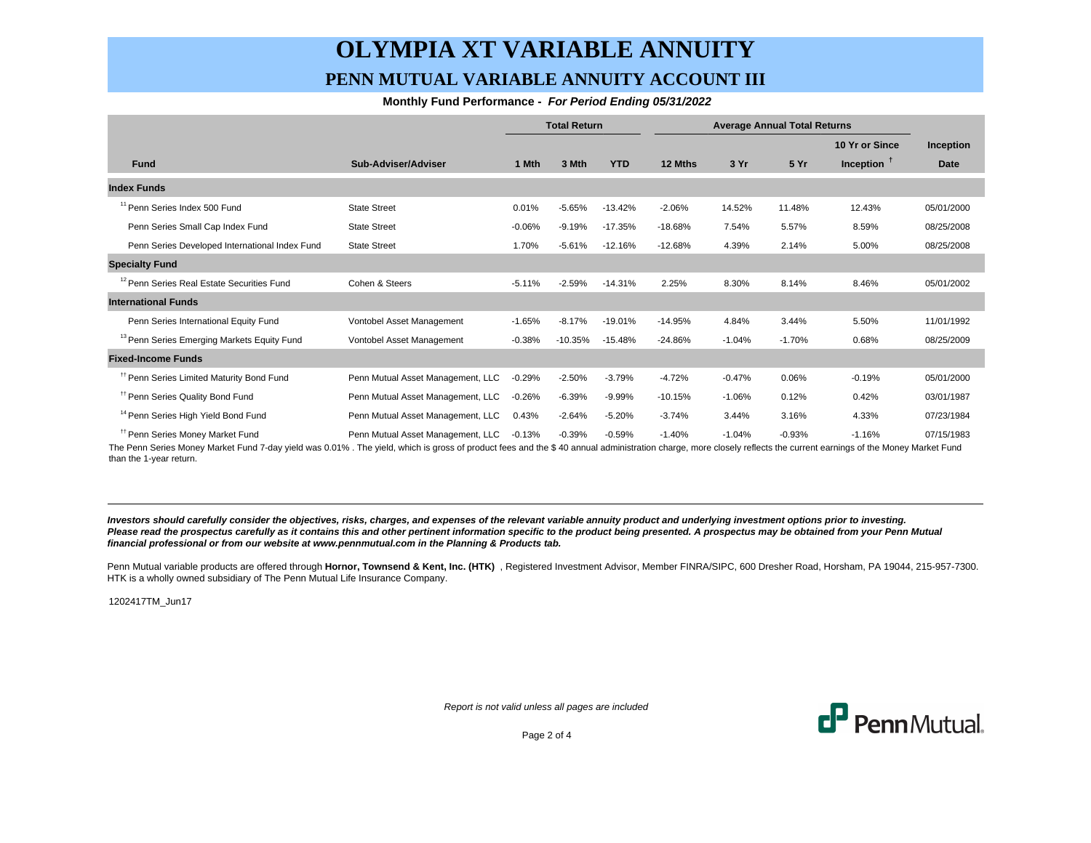## **OLYMPIA XT VARIABLE ANNUITY PENN MUTUAL VARIABLE ANNUITY ACCOUNT III**

#### **Monthly Fund Performance - For Period Ending 05/31/2022**

|                                                        |                                   | <b>Total Return</b> |           | <b>Average Annual Total Returns</b> |           |          |          |                |             |
|--------------------------------------------------------|-----------------------------------|---------------------|-----------|-------------------------------------|-----------|----------|----------|----------------|-------------|
|                                                        |                                   |                     |           |                                     |           |          |          | 10 Yr or Since | Inception   |
| <b>Fund</b>                                            | Sub-Adviser/Adviser               | 1 Mth               | 3 Mth     | <b>YTD</b>                          | 12 Mths   | 3 Yr     | 5 Yr     | Inception $†$  | <b>Date</b> |
| <b>Index Funds</b>                                     |                                   |                     |           |                                     |           |          |          |                |             |
| <sup>11</sup> Penn Series Index 500 Fund               | <b>State Street</b>               | 0.01%               | $-5.65%$  | $-13.42%$                           | $-2.06%$  | 14.52%   | 11.48%   | 12.43%         | 05/01/2000  |
| Penn Series Small Cap Index Fund                       | <b>State Street</b>               | $-0.06%$            | $-9.19%$  | $-17.35%$                           | $-18.68%$ | 7.54%    | 5.57%    | 8.59%          | 08/25/2008  |
| Penn Series Developed International Index Fund         | <b>State Street</b>               | 1.70%               | $-5.61%$  | $-12.16%$                           | $-12.68%$ | 4.39%    | 2.14%    | 5.00%          | 08/25/2008  |
| <b>Specialty Fund</b>                                  |                                   |                     |           |                                     |           |          |          |                |             |
| <sup>12</sup> Penn Series Real Estate Securities Fund  | Cohen & Steers                    | $-5.11%$            | $-2.59%$  | $-14.31%$                           | 2.25%     | 8.30%    | 8.14%    | 8.46%          | 05/01/2002  |
| <b>International Funds</b>                             |                                   |                     |           |                                     |           |          |          |                |             |
| Penn Series International Equity Fund                  | Vontobel Asset Management         | $-1.65%$            | $-8.17%$  | $-19.01%$                           | $-14.95%$ | 4.84%    | 3.44%    | 5.50%          | 11/01/1992  |
| <sup>13</sup> Penn Series Emerging Markets Equity Fund | Vontobel Asset Management         | $-0.38%$            | $-10.35%$ | $-15.48%$                           | $-24.86%$ | $-1.04%$ | $-1.70%$ | 0.68%          | 08/25/2009  |
| <b>Fixed-Income Funds</b>                              |                                   |                     |           |                                     |           |          |          |                |             |
| <sup>11</sup> Penn Series Limited Maturity Bond Fund   | Penn Mutual Asset Management, LLC | $-0.29%$            | $-2.50%$  | $-3.79%$                            | $-4.72%$  | $-0.47%$ | 0.06%    | $-0.19%$       | 05/01/2000  |
| <sup>11</sup> Penn Series Quality Bond Fund            | Penn Mutual Asset Management, LLC | $-0.26%$            | $-6.39%$  | $-9.99%$                            | $-10.15%$ | $-1.06%$ | 0.12%    | 0.42%          | 03/01/1987  |
| <sup>14</sup> Penn Series High Yield Bond Fund         | Penn Mutual Asset Management, LLC | 0.43%               | $-2.64%$  | $-5.20%$                            | $-3.74%$  | 3.44%    | 3.16%    | 4.33%          | 07/23/1984  |
| <sup>11</sup> Penn Series Money Market Fund            | Penn Mutual Asset Management, LLC | $-0.13%$            | $-0.39%$  | $-0.59%$                            | $-1.40%$  | $-1.04%$ | $-0.93%$ | $-1.16%$       | 07/15/1983  |

The Penn Series Money Market Fund 7-day yield was 0.01% . The yield, which is gross of product fees and the \$ 40 annual administration charge, more closely reflects the current earnings of the Money Market Fund than the 1-year return.

**Investors should carefully consider the objectives, risks, charges, and expenses of the relevant variable annuity product and underlying investment options prior to investing.** Please read the prospectus carefully as it contains this and other pertinent information specific to the product being presented. A prospectus may be obtained from your Penn Mutual **financial professional or from our website at www.pennmutual.com in the Planning & Products tab.**

Penn Mutual variable products are offered through Hornor, Townsend & Kent, Inc. (HTK), Registered Investment Advisor, Member FINRA/SIPC, 600 Dresher Road, Horsham, PA 19044, 215-957-7300. HTK is a wholly owned subsidiary of The Penn Mutual Life Insurance Company.

1202417TM\_Jun17

Report is not valid unless all pages are included



Page 2 of 4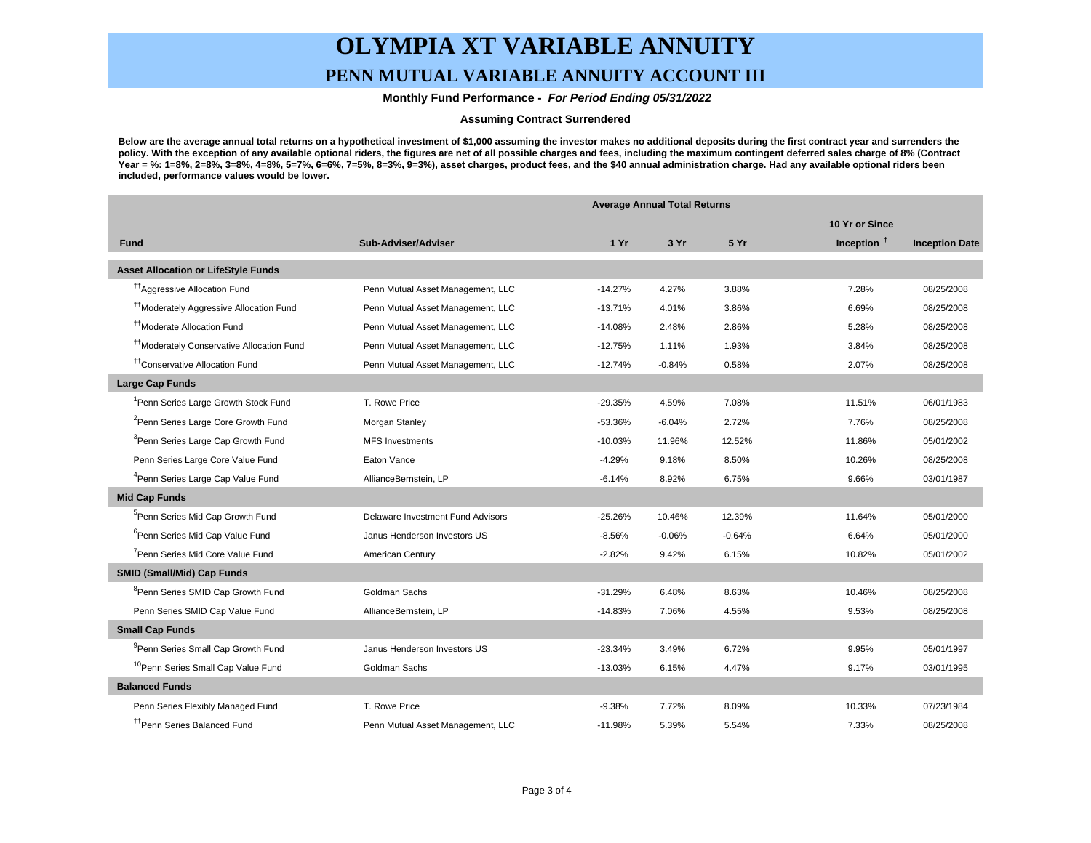# **OLYMPIA XT VARIABLE ANNUITY**

### **PENN MUTUAL VARIABLE ANNUITY ACCOUNT III**

 **Monthly Fund Performance - For Period Ending 05/31/2022**

#### **Assuming Contract Surrendered**

**Below are the average annual total returns on a hypothetical investment of \$1,000 assuming the investor makes no additional deposits during the first contract year and surrenders the policy. With the exception of any available optional riders, the figures are net of all possible charges and fees, including the maximum contingent deferred sales charge of 8% (Contract Year = %: 1=8%, 2=8%, 3=8%, 4=8%, 5=7%, 6=6%, 7=5%, 8=3%, 9=3%), asset charges, product fees, and the \$40 annual administration charge. Had any available optional riders been included, performance values would be lower.**

|                                                       |                                   | <b>Average Annual Total Returns</b> |          |          |                |                       |
|-------------------------------------------------------|-----------------------------------|-------------------------------------|----------|----------|----------------|-----------------------|
|                                                       |                                   |                                     |          |          | 10 Yr or Since |                       |
| <b>Fund</b>                                           | Sub-Adviser/Adviser               | 1Yr                                 | 3 Yr     | 5 Yr     | Inception $†$  | <b>Inception Date</b> |
| <b>Asset Allocation or LifeStyle Funds</b>            |                                   |                                     |          |          |                |                       |
| <sup>11</sup> Aggressive Allocation Fund              | Penn Mutual Asset Management, LLC | $-14.27%$                           | 4.27%    | 3.88%    | 7.28%          | 08/25/2008            |
| <sup>11</sup> Moderately Aggressive Allocation Fund   | Penn Mutual Asset Management, LLC | $-13.71%$                           | 4.01%    | 3.86%    | 6.69%          | 08/25/2008            |
| <sup>11</sup> Moderate Allocation Fund                | Penn Mutual Asset Management, LLC | $-14.08%$                           | 2.48%    | 2.86%    | 5.28%          | 08/25/2008            |
| <sup>††</sup> Moderately Conservative Allocation Fund | Penn Mutual Asset Management, LLC | $-12.75%$                           | 1.11%    | 1.93%    | 3.84%          | 08/25/2008            |
| <sup>††</sup> Conservative Allocation Fund            | Penn Mutual Asset Management, LLC | $-12.74%$                           | $-0.84%$ | 0.58%    | 2.07%          | 08/25/2008            |
| <b>Large Cap Funds</b>                                |                                   |                                     |          |          |                |                       |
| <sup>1</sup> Penn Series Large Growth Stock Fund      | T. Rowe Price                     | $-29.35%$                           | 4.59%    | 7.08%    | 11.51%         | 06/01/1983            |
| <sup>2</sup> Penn Series Large Core Growth Fund       | Morgan Stanley                    | $-53.36%$                           | $-6.04%$ | 2.72%    | 7.76%          | 08/25/2008            |
| <sup>3</sup> Penn Series Large Cap Growth Fund        | <b>MFS Investments</b>            | $-10.03%$                           | 11.96%   | 12.52%   | 11.86%         | 05/01/2002            |
| Penn Series Large Core Value Fund                     | Eaton Vance                       | $-4.29%$                            | 9.18%    | 8.50%    | 10.26%         | 08/25/2008            |
| <sup>4</sup> Penn Series Large Cap Value Fund         | AllianceBernstein, LP             | $-6.14%$                            | 8.92%    | 6.75%    | 9.66%          | 03/01/1987            |
| <b>Mid Cap Funds</b>                                  |                                   |                                     |          |          |                |                       |
| <sup>5</sup> Penn Series Mid Cap Growth Fund          | Delaware Investment Fund Advisors | $-25.26%$                           | 10.46%   | 12.39%   | 11.64%         | 05/01/2000            |
| <sup>6</sup> Penn Series Mid Cap Value Fund           | Janus Henderson Investors US      | $-8.56%$                            | $-0.06%$ | $-0.64%$ | 6.64%          | 05/01/2000            |
| <sup>7</sup> Penn Series Mid Core Value Fund          | American Century                  | $-2.82%$                            | 9.42%    | 6.15%    | 10.82%         | 05/01/2002            |
| <b>SMID (Small/Mid) Cap Funds</b>                     |                                   |                                     |          |          |                |                       |
| <sup>8</sup> Penn Series SMID Cap Growth Fund         | Goldman Sachs                     | $-31.29%$                           | 6.48%    | 8.63%    | 10.46%         | 08/25/2008            |
| Penn Series SMID Cap Value Fund                       | AllianceBernstein, LP             | $-14.83%$                           | 7.06%    | 4.55%    | 9.53%          | 08/25/2008            |
| <b>Small Cap Funds</b>                                |                                   |                                     |          |          |                |                       |
| <sup>9</sup> Penn Series Small Cap Growth Fund        | Janus Henderson Investors US      | $-23.34%$                           | 3.49%    | 6.72%    | 9.95%          | 05/01/1997            |
| <sup>10</sup> Penn Series Small Cap Value Fund        | Goldman Sachs                     | $-13.03%$                           | 6.15%    | 4.47%    | 9.17%          | 03/01/1995            |
| <b>Balanced Funds</b>                                 |                                   |                                     |          |          |                |                       |
| Penn Series Flexibly Managed Fund                     | T. Rowe Price                     | $-9.38%$                            | 7.72%    | 8.09%    | 10.33%         | 07/23/1984            |
| <sup>tt</sup> Penn Series Balanced Fund               | Penn Mutual Asset Management, LLC | $-11.98%$                           | 5.39%    | 5.54%    | 7.33%          | 08/25/2008            |